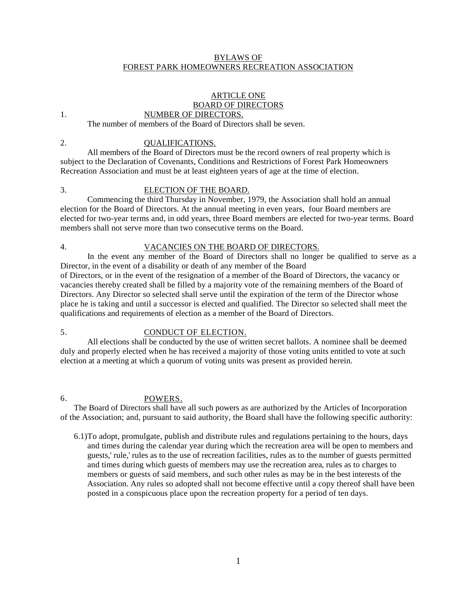## BYLAWS OF FOREST PARK HOMEOWNERS RECREATION ASSOCIATION

### ARTICLE ONE BOARD OF DIRECTORS NUMBER OF DIRECTORS.

### 1.

The number of members of the Board of Directors shall be seven.

2.

### QUALIFICATIONS.

All members of the Board of Directors must be the record owners of real property which is subject to the Declaration of Covenants, Conditions and Restrictions of Forest Park Homeowners Recreation Association and must be at least eighteen years of age at the time of election.

3.

## ELECTION OF THE BOARD.

Commencing the third Thursday in November, 1979, the Association shall hold an annual election for the Board of Directors. At the annual meeting in even years, four Board members are elected for two-year terms and, in odd years, three Board members are elected for two-year terms. Board members shall not serve more than two consecutive terms on the Board.

4.

# VACANCIES ON THE BOARD OF DIRECTORS.

In the event any member of the Board of Directors shall no longer be qualified to serve as a Director, in the event of a disability or death of any member of the Board

of Directors, or in the event of the resignation of a member of the Board of Directors, the vacancy or vacancies thereby created shall be filled by a majority vote of the remaining members of the Board of Directors. Any Director so selected shall serve until the expiration of the term of the Director whose place he is taking and until a successor is elected and qualified. The Director so selected shall meet the qualifications and requirements of election as a member of the Board of Directors.

### 5. CONDUCT OF ELECTION.

All elections shall be conducted by the use of written secret ballots. A nominee shall be deemed duly and properly elected when he has received a majority of those voting units entitled to vote at such election at a meeting at which a quorum of voting units was present as provided herein.

6.

## POWERS.

The Board of Directors shall have all such powers as are authorized by the Articles of Incorporation of the Association; and, pursuant to said authority, the Board shall have the following specific authority:

6.1)To adopt, promulgate, publish and distribute rules and regulations pertaining to the hours, days and times during the calendar year during which the recreation area will be open to members and guests,' rule,' rules as to the use of recreation facilities, rules as to the number of guests permitted and times during which guests of members may use the recreation area, rules as to charges to members or guests of said members, and such other rules as may be in the best interests of the Association. Any rules so adopted shall not become effective until a copy thereof shall have been posted in a conspicuous place upon the recreation property for a period of ten days.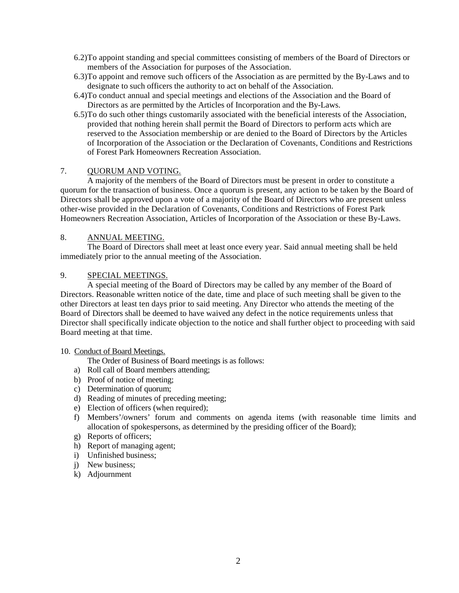- 6.2)To appoint standing and special committees consisting of members of the Board of Directors or members of the Association for purposes of the Association.
- 6.3)To appoint and remove such officers of the Association as are permitted by the By-Laws and to designate to such officers the authority to act on behalf of the Association.
- 6.4)To conduct annual and special meetings and elections of the Association and the Board of Directors as are permitted by the Articles of Incorporation and the By-Laws.
- 6.5)To do such other things customarily associated with the beneficial interests of the Association, provided that nothing herein shall permit the Board of Directors to perform acts which are reserved to the Association membership or are denied to the Board of Directors by the Articles of Incorporation of the Association or the Declaration of Covenants, Conditions and Restrictions of Forest Park Homeowners Recreation Association.

## 7. OUORUM AND VOTING.

A majority of the members of the Board of Directors must be present in order to constitute a quorum for the transaction of business. Once a quorum is present, any action to be taken by the Board of Directors shall be approved upon a vote of a majority of the Board of Directors who are present unless other-wise provided in the Declaration of Covenants, Conditions and Restrictions of Forest Park Homeowners Recreation Association, Articles of Incorporation of the Association or these By-Laws.

#### 8. ANNUAL MEETING.

The Board of Directors shall meet at least once every year. Said annual meeting shall be held immediately prior to the annual meeting of the Association.

#### 9. SPECIAL MEETINGS.

A special meeting of the Board of Directors may be called by any member of the Board of Directors. Reasonable written notice of the date, time and place of such meeting shall be given to the other Directors at least ten days prior to said meeting. Any Director who attends the meeting of the Board of Directors shall be deemed to have waived any defect in the notice requirements unless that Director shall specifically indicate objection to the notice and shall further object to proceeding with said Board meeting at that time.

### 10. Conduct of Board Meetings.

The Order of Business of Board meetings is as follows:

- a) Roll call of Board members attending;
- b) Proof of notice of meeting;
- c) Determination of quorum;
- d) Reading of minutes of preceding meeting;
- e) Election of officers (when required);
- f) Members'/owners' forum and comments on agenda items (with reasonable time limits and allocation of spokespersons, as determined by the presiding officer of the Board);
- g) Reports of officers;
- h) Report of managing agent;
- i) Unfinished business;
- j) New business;
- k) Adjournment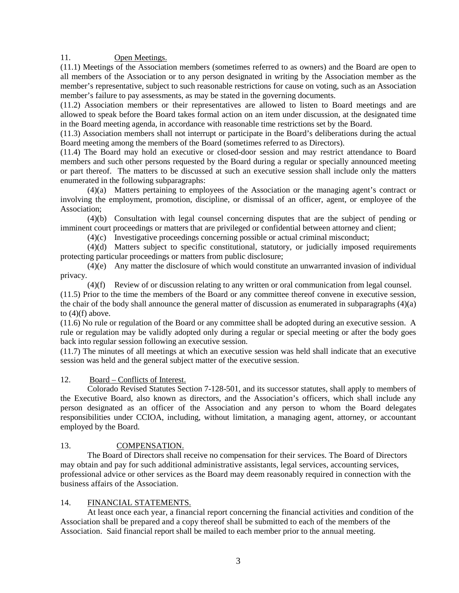11. Open Meetings.

(11.1) Meetings of the Association members (sometimes referred to as owners) and the Board are open to all members of the Association or to any person designated in writing by the Association member as the member's representative, subject to such reasonable restrictions for cause on voting, such as an Association member's failure to pay assessments, as may be stated in the governing documents.

(11.2) Association members or their representatives are allowed to listen to Board meetings and are allowed to speak before the Board takes formal action on an item under discussion, at the designated time in the Board meeting agenda, in accordance with reasonable time restrictions set by the Board.

(11.3) Association members shall not interrupt or participate in the Board's deliberations during the actual Board meeting among the members of the Board (sometimes referred to as Directors).

(11.4) The Board may hold an executive or closed-door session and may restrict attendance to Board members and such other persons requested by the Board during a regular or specially announced meeting or part thereof. The matters to be discussed at such an executive session shall include only the matters enumerated in the following subparagraphs:

(4)(a) Matters pertaining to employees of the Association or the managing agent's contract or involving the employment, promotion, discipline, or dismissal of an officer, agent, or employee of the Association;

(4)(b) Consultation with legal counsel concerning disputes that are the subject of pending or imminent court proceedings or matters that are privileged or confidential between attorney and client;

(4)(c) Investigative proceedings concerning possible or actual criminal misconduct;

(4)(d) Matters subject to specific constitutional, statutory, or judicially imposed requirements protecting particular proceedings or matters from public disclosure;

(4)(e) Any matter the disclosure of which would constitute an unwarranted invasion of individual privacy.

(4)(f) Review of or discussion relating to any written or oral communication from legal counsel.

(11.5) Prior to the time the members of the Board or any committee thereof convene in executive session, the chair of the body shall announce the general matter of discussion as enumerated in subparagraphs  $(4)(a)$ to  $(4)(f)$  above.

(11.6) No rule or regulation of the Board or any committee shall be adopted during an executive session. A rule or regulation may be validly adopted only during a regular or special meeting or after the body goes back into regular session following an executive session.

(11.7) The minutes of all meetings at which an executive session was held shall indicate that an executive session was held and the general subject matter of the executive session.

## 12. Board – Conflicts of Interest.

Colorado Revised Statutes Section 7-128-501, and its successor statutes, shall apply to members of the Executive Board, also known as directors, and the Association's officers, which shall include any person designated as an officer of the Association and any person to whom the Board delegates responsibilities under CCIOA, including, without limitation, a managing agent, attorney, or accountant employed by the Board.

#### 13. COMPENSATION.

The Board of Directors shall receive no compensation for their services. The Board of Directors may obtain and pay for such additional administrative assistants, legal services, accounting services, professional advice or other services as the Board may deem reasonably required in connection with the business affairs of the Association.

#### 14. FINANCIAL STATEMENTS.

At least once each year, a financial report concerning the financial activities and condition of the Association shall be prepared and a copy thereof shall be submitted to each of the members of the Association. Said financial report shall be mailed to each member prior to the annual meeting.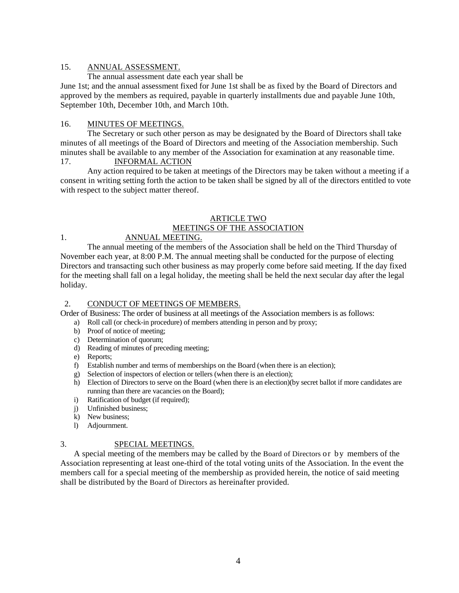#### 15. ANNUAL ASSESSMENT.

The annual assessment date each year shall be

June 1st; and the annual assessment fixed for June 1st shall be as fixed by the Board of Directors and approved by the members as required, payable in quarterly installments due and payable June 10th, September 10th, December 10th, and March 10th.

#### 16. MINUTES OF MEETINGS.

The Secretary or such other person as may be designated by the Board of Directors shall take minutes of all meetings of the Board of Directors and meeting of the Association membership. Such minutes shall be available to any member of the Association for examination at any reasonable time. 17. INFORMAL ACTION

Any action required to be taken at meetings of the Directors may be taken without a meeting if a consent in writing setting forth the action to be taken shall be signed by all of the directors entitled to vote with respect to the subject matter thereof.

### ARTICLE TWO

## MEETINGS OF THE ASSOCIATION

1.

# ANNUAL MEETING.

The annual meeting of the members of the Association shall be held on the Third Thursday of November each year, at 8:00 P.M. The annual meeting shall be conducted for the purpose of electing Directors and transacting such other business as may properly come before said meeting. If the day fixed for the meeting shall fall on a legal holiday, the meeting shall be held the next secular day after the legal holiday.

## 2. CONDUCT OF MEETINGS OF MEMBERS.

Order of Business: The order of business at all meetings of the Association members is as follows:

- a) Roll call (or check-in procedure) of members attending in person and by proxy;
- b) Proof of notice of meeting;
- c) Determination of quorum;
- d) Reading of minutes of preceding meeting;
- e) Reports;
- f) Establish number and terms of memberships on the Board (when there is an election);
- g) Selection of inspectors of election or tellers (when there is an election);
- h) Election of Directors to serve on the Board (when there is an election)(by secret ballot if more candidates are running than there are vacancies on the Board);
- i) Ratification of budget (if required);
- j) Unfinished business;
- k) New business;
- l) Adjournment.

#### 3. SPECIAL MEETINGS.

A special meeting of the members may be called by the Board of Directors or by members of the Association representing at least one-third of the total voting units of the Association. In the event the members call for a special meeting of the membership as provided herein, the notice of said meeting shall be distributed by the Board of Directors as hereinafter provided.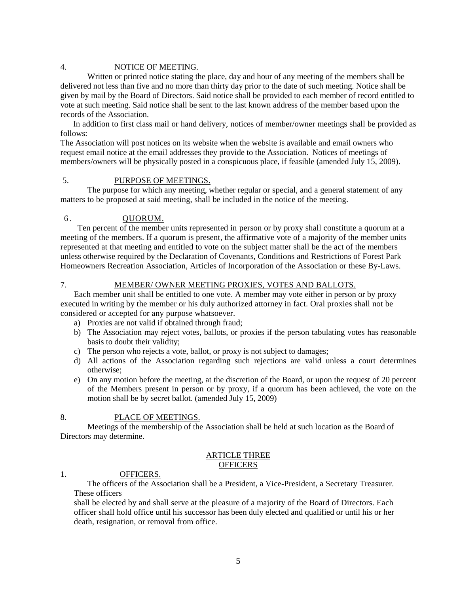### 4. NOTICE OF MEETING.

Written or printed notice stating the place, day and hour of any meeting of the members shall be delivered not less than five and no more than thirty day prior to the date of such meeting. Notice shall be given by mail by the Board of Directors. Said notice shall be provided to each member of record entitled to vote at such meeting. Said notice shall be sent to the last known address of the member based upon the records of the Association.

In addition to first class mail or hand delivery, notices of member/owner meetings shall be provided as follows:

The Association will post notices on its website when the website is available and email owners who request email notice at the email addresses they provide to the Association. Notices of meetings of members/owners will be physically posted in a conspicuous place, if feasible (amended July 15, 2009).

## 5. PURPOSE OF MEETINGS.

The purpose for which any meeting, whether regular or special, and a general statement of any matters to be proposed at said meeting, shall be included in the notice of the meeting.

## 6 . QUORUM.

7.

 Ten percent of the member units represented in person or by proxy shall constitute a quorum at a meeting of the members. If a quorum is present, the affirmative vote of a majority of the member units represented at that meeting and entitled to vote on the subject matter shall be the act of the members unless otherwise required by the Declaration of Covenants, Conditions and Restrictions of Forest Park Homeowners Recreation Association, Articles of Incorporation of the Association or these By-Laws.

### MEMBER/ OWNER MEETING PROXIES, VOTES AND BALLOTS.

Each member unit shall be entitled to one vote. A member may vote either in person or by proxy executed in writing by the member or his duly authorized attorney in fact. Oral proxies shall not be considered or accepted for any purpose whatsoever.

- a) Proxies are not valid if obtained through fraud;
- b) The Association may reject votes, ballots, or proxies if the person tabulating votes has reasonable basis to doubt their validity;
- c) The person who rejects a vote, ballot, or proxy is not subject to damages;
- d) All actions of the Association regarding such rejections are valid unless a court determines otherwise;
- e) On any motion before the meeting, at the discretion of the Board, or upon the request of 20 percent of the Members present in person or by proxy, if a quorum has been achieved, the vote on the motion shall be by secret ballot. (amended July 15, 2009)

#### 8. PLACE OF MEETINGS.

Meetings of the membership of the Association shall be held at such location as the Board of Directors may determine.

### ARTICLE THREE **OFFICERS**

#### 1. OFFICERS.

The officers of the Association shall be a President, a Vice-President, a Secretary Treasurer. These officers

shall be elected by and shall serve at the pleasure of a majority of the Board of Directors. Each officer shall hold office until his successor has been duly elected and qualified or until his or her death, resignation, or removal from office.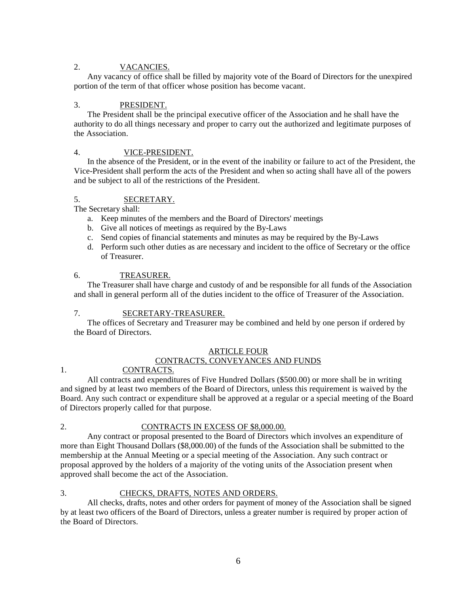#### 2. VACANCIES.

Any vacancy of office shall be filled by majority vote of the Board of Directors for the unexpired portion of the term of that officer whose position has become vacant.

#### 3. PRESIDENT.

The President shall be the principal executive officer of the Association and he shall have the authority to do all things necessary and proper to carry out the authorized and legitimate purposes of the Association.

#### 4. VICE-PRESIDENT.

In the absence of the President, or in the event of the inability or failure to act of the President, the Vice-President shall perform the acts of the President and when so acting shall have all of the powers and be subject to all of the restrictions of the President.

#### 5. SECRETARY.

The Secretary shall:

- a. Keep minutes of the members and the Board of Directors' meetings
- b. Give all notices of meetings as required by the By-Laws
- c. Send copies of financial statements and minutes as may be required by the By-Laws
- d. Perform such other duties as are necessary and incident to the office of Secretary or the office of Treasurer.

#### 6. TREASURER.

The Treasurer shall have charge and custody of and be responsible for all funds of the Association and shall in general perform all of the duties incident to the office of Treasurer of the Association.

#### 7. SECRETARY-TREASURER.

The offices of Secretary and Treasurer may be combined and held by one person if ordered by the Board of Directors.

# ARTICLE FOUR

# CONTRACTS, CONVEYANCES AND FUNDS

## CONTRACTS.

All contracts and expenditures of Five Hundred Dollars (\$500.00) or more shall be in writing and signed by at least two members of the Board of Directors, unless this requirement is waived by the Board. Any such contract or expenditure shall be approved at a regular or a special meeting of the Board of Directors properly called for that purpose.

### 2.

1.

## CONTRACTS IN EXCESS OF \$8,000.00.

Any contract or proposal presented to the Board of Directors which involves an expenditure of more than Eight Thousand Dollars (\$8,000.00) of the funds of the Association shall be submitted to the membership at the Annual Meeting or a special meeting of the Association. Any such contract or proposal approved by the holders of a majority of the voting units of the Association present when approved shall become the act of the Association.

## 3. CHECKS, DRAFTS, NOTES AND ORDERS.

All checks, drafts, notes and other orders for payment of money of the Association shall be signed by at least two officers of the Board of Directors, unless a greater number is required by proper action of the Board of Directors.